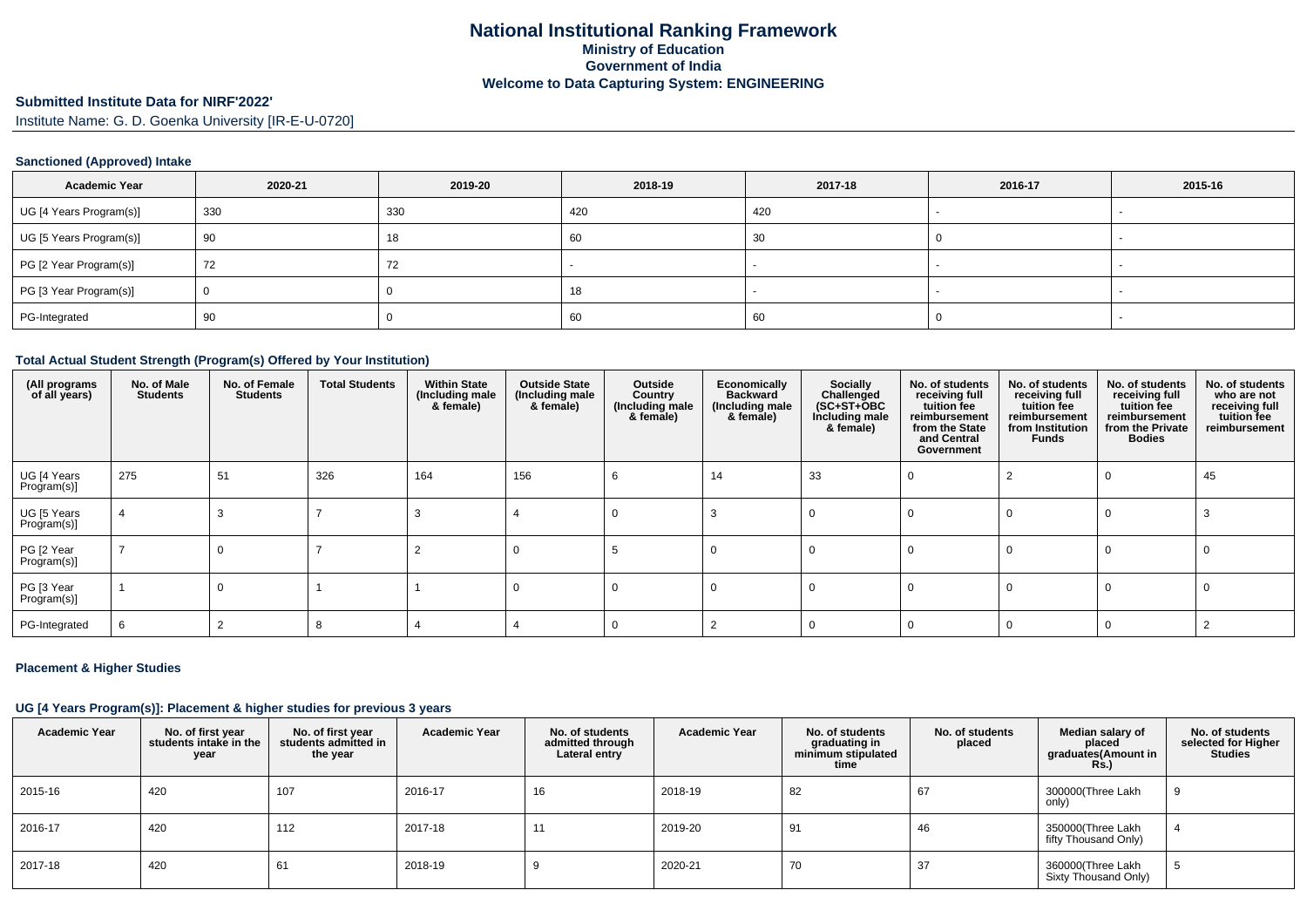# **Submitted Institute Data for NIRF'2022'**

Institute Name: G. D. Goenka University [IR-E-U-0720]

#### **Sanctioned (Approved) Intake**

| <b>Academic Year</b>    | 2020-21 | 2019-20 | 2018-19 | 2017-18 | 2016-17 | 2015-16                  |
|-------------------------|---------|---------|---------|---------|---------|--------------------------|
| UG [4 Years Program(s)] | 330     | 330     | 420     | 420     |         |                          |
| UG [5 Years Program(s)] | 90      | 18      | 60      | 30      |         |                          |
| PG [2 Year Program(s)]  | 72      | 72      |         |         |         |                          |
| PG [3 Year Program(s)]  |         |         | 18      |         |         |                          |
| PG-Integrated           | 90      |         | 60      | 60      |         | $\overline{\phantom{a}}$ |

#### **Total Actual Student Strength (Program(s) Offered by Your Institution)**

| (All programs<br>of all years) | No. of Male<br><b>Students</b> | No. of Female<br><b>Students</b> | <b>Total Students</b> | <b>Within State</b><br>(Including male<br>& female) | <b>Outside State</b><br>(Including male<br>& female) | Outside<br>Country<br>(Including male<br>& female) | Economically<br><b>Backward</b><br>(Including male<br>& female) | Socially<br>Challenged<br>$(SC+ST+OBC)$<br>Including male<br>& female) | No. of students<br>receiving full<br>tuition fee<br>reimbursement<br>from the State<br>and Central<br>Government | No. of students<br>receiving full<br>tuition fee<br>reimbursement<br>from Institution<br><b>Funds</b> | No. of students<br>receiving full<br>tuition fee<br>reimbursement<br>from the Private<br><b>Bodies</b> | No. of students<br>who are not<br>receiving full<br>tuition fee<br>reimbursement |
|--------------------------------|--------------------------------|----------------------------------|-----------------------|-----------------------------------------------------|------------------------------------------------------|----------------------------------------------------|-----------------------------------------------------------------|------------------------------------------------------------------------|------------------------------------------------------------------------------------------------------------------|-------------------------------------------------------------------------------------------------------|--------------------------------------------------------------------------------------------------------|----------------------------------------------------------------------------------|
| UG [4 Years<br>Program(s)]     | 275                            | 51                               | 326                   | 164                                                 | 156                                                  |                                                    | 14                                                              | 33                                                                     |                                                                                                                  |                                                                                                       |                                                                                                        | 45                                                                               |
| UG [5 Years<br>Program(s)]     |                                |                                  |                       |                                                     |                                                      |                                                    |                                                                 |                                                                        |                                                                                                                  |                                                                                                       |                                                                                                        |                                                                                  |
| PG [2 Year<br>Program(s)]      |                                |                                  |                       |                                                     |                                                      |                                                    |                                                                 |                                                                        |                                                                                                                  |                                                                                                       |                                                                                                        |                                                                                  |
| PG [3 Year<br>Program(s)]      |                                |                                  |                       |                                                     |                                                      |                                                    |                                                                 |                                                                        |                                                                                                                  |                                                                                                       |                                                                                                        |                                                                                  |
| PG-Integrated                  |                                |                                  |                       |                                                     |                                                      |                                                    |                                                                 |                                                                        |                                                                                                                  |                                                                                                       |                                                                                                        |                                                                                  |

#### **Placement & Higher Studies**

#### **UG [4 Years Program(s)]: Placement & higher studies for previous 3 years**

| <b>Academic Year</b> | No. of first year<br>students intake in the<br>year | No. of first year<br>students admitted in<br>the year | <b>Academic Year</b> | No. of students<br>admitted through<br>Lateral entry | <b>Academic Year</b> | No. of students<br>graduating in<br>minimum stipulated<br>time | No. of students<br>placed | Median salary of<br>placed<br>graduates(Amount in<br><b>Rs.)</b> | No. of students<br>selected for Higher<br>Studies |
|----------------------|-----------------------------------------------------|-------------------------------------------------------|----------------------|------------------------------------------------------|----------------------|----------------------------------------------------------------|---------------------------|------------------------------------------------------------------|---------------------------------------------------|
| 2015-16              | 420                                                 | 107                                                   | 2016-17              | 16                                                   | 2018-19              | 82                                                             | 67                        | 300000(Three Lakh<br>only)                                       |                                                   |
| 2016-17              | 420                                                 | 112                                                   | 2017-18              | 1 <sup>1</sup>                                       | 2019-20              | -91                                                            | 46                        | 350000(Three Lakh<br>fifty Thousand Only)                        |                                                   |
| 2017-18              | 420                                                 | 61                                                    | 2018-19              |                                                      | 2020-21              | 70                                                             | 37                        | 360000(Three Lakh<br>Sixty Thousand Only)                        |                                                   |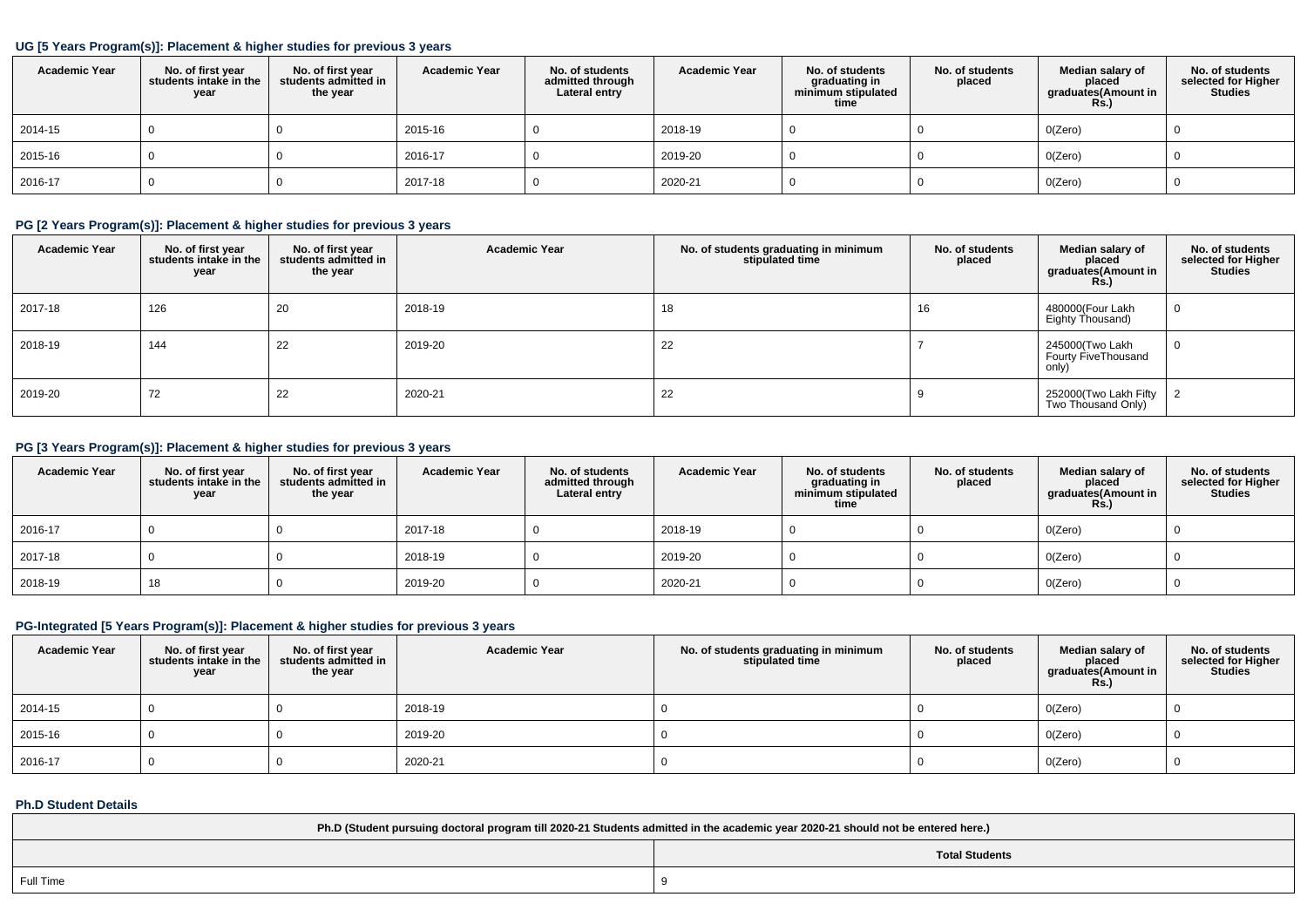#### **UG [5 Years Program(s)]: Placement & higher studies for previous 3 years**

| <b>Academic Year</b> | No. of first year<br>students intake in the<br>year | No. of first year<br>students admitted in<br>the year | <b>Academic Year</b> | No. of students<br>admitted through<br>Lateral entry | <b>Academic Year</b> | No. of students<br>graduating in<br>minimum stipulated<br>time | No. of students<br>placed | Median salary of<br>placed<br>graduates(Amount in<br>Rs.) | No. of students<br>selected for Higher<br><b>Studies</b> |
|----------------------|-----------------------------------------------------|-------------------------------------------------------|----------------------|------------------------------------------------------|----------------------|----------------------------------------------------------------|---------------------------|-----------------------------------------------------------|----------------------------------------------------------|
| 2014-15              |                                                     |                                                       | 2015-16              |                                                      | 2018-19              |                                                                |                           | O(Zero)                                                   |                                                          |
| 2015-16              |                                                     |                                                       | 2016-17              |                                                      | 2019-20              |                                                                |                           | O(Zero)                                                   |                                                          |
| 2016-17              |                                                     |                                                       | 2017-18              |                                                      | 2020-21              |                                                                |                           | O(Zero)                                                   |                                                          |

## **PG [2 Years Program(s)]: Placement & higher studies for previous 3 years**

| <b>Academic Year</b> | No. of first year<br>students intake in the<br>year | No. of first year<br>students admitted in<br>the year | <b>Academic Year</b> | No. of students graduating in minimum<br>stipulated time | No. of students<br>placed | Median salary of<br>placed<br>graduates(Amount in<br><b>Rs.)</b> | No. of students<br>selected for Higher<br><b>Studies</b> |
|----------------------|-----------------------------------------------------|-------------------------------------------------------|----------------------|----------------------------------------------------------|---------------------------|------------------------------------------------------------------|----------------------------------------------------------|
| 2017-18              | 126                                                 | 20                                                    | 2018-19              | 18                                                       | 16                        | 480000(Four Lakh<br>Eighty Thousand)                             |                                                          |
| 2018-19              | 144                                                 | 22                                                    | 2019-20              | 22                                                       |                           | 245000(Two Lakh<br>Fourty FiveThousand<br>only)                  |                                                          |
| 2019-20              | 72                                                  | 22                                                    | 2020-21              | 22                                                       |                           | 252000(Two Lakh Fifty<br>Two Thousand Only)                      |                                                          |

## **PG [3 Years Program(s)]: Placement & higher studies for previous 3 years**

| <b>Academic Year</b> | No. of first year<br>students intake in the<br>year | No. of first year<br>students admitted in<br>the year | <b>Academic Year</b> | No. of students<br>admitted through<br>Lateral entry | <b>Academic Year</b> | No. of students<br>graduating in<br>minimum stipulated<br>time | No. of students<br>placed | Median salary of<br>placed<br>graduates(Amount in<br><b>Rs.)</b> | No. of students<br>selected for Higher<br><b>Studies</b> |
|----------------------|-----------------------------------------------------|-------------------------------------------------------|----------------------|------------------------------------------------------|----------------------|----------------------------------------------------------------|---------------------------|------------------------------------------------------------------|----------------------------------------------------------|
| 2016-17              |                                                     |                                                       | 2017-18              |                                                      | 2018-19              |                                                                |                           | O(Zero)                                                          |                                                          |
| 2017-18              |                                                     |                                                       | 2018-19              |                                                      | 2019-20              |                                                                |                           | O(Zero)                                                          |                                                          |
| 2018-19              | 18                                                  |                                                       | 2019-20              |                                                      | 2020-21              |                                                                |                           | O(Zero)                                                          |                                                          |

## **PG-Integrated [5 Years Program(s)]: Placement & higher studies for previous 3 years**

| <b>Academic Year</b> | No. of first year<br>students intake in the<br>year | No. of first vear<br>students admitted in<br>the year | <b>Academic Year</b> | No. of students graduating in minimum<br>stipulated time | No. of students<br>placed | Median salary of<br>placed<br>graduates(Amount in<br><b>Rs.)</b> | No. of students<br>selected for Higher<br><b>Studies</b> |
|----------------------|-----------------------------------------------------|-------------------------------------------------------|----------------------|----------------------------------------------------------|---------------------------|------------------------------------------------------------------|----------------------------------------------------------|
| 2014-15              |                                                     |                                                       | 2018-19              |                                                          |                           | O(Zero)                                                          |                                                          |
| 2015-16              |                                                     |                                                       | 2019-20              |                                                          |                           | O(Zero)                                                          |                                                          |
| 2016-17              |                                                     |                                                       | 2020-21              |                                                          |                           | O(Zero)                                                          |                                                          |

### **Ph.D Student Details**

| Ph.D (Student pursuing doctoral program till 2020-21 Students admitted in the academic year 2020-21 should not be entered here.) |  |  |  |  |  |
|----------------------------------------------------------------------------------------------------------------------------------|--|--|--|--|--|
| <b>Total Students</b>                                                                                                            |  |  |  |  |  |
| Full Time                                                                                                                        |  |  |  |  |  |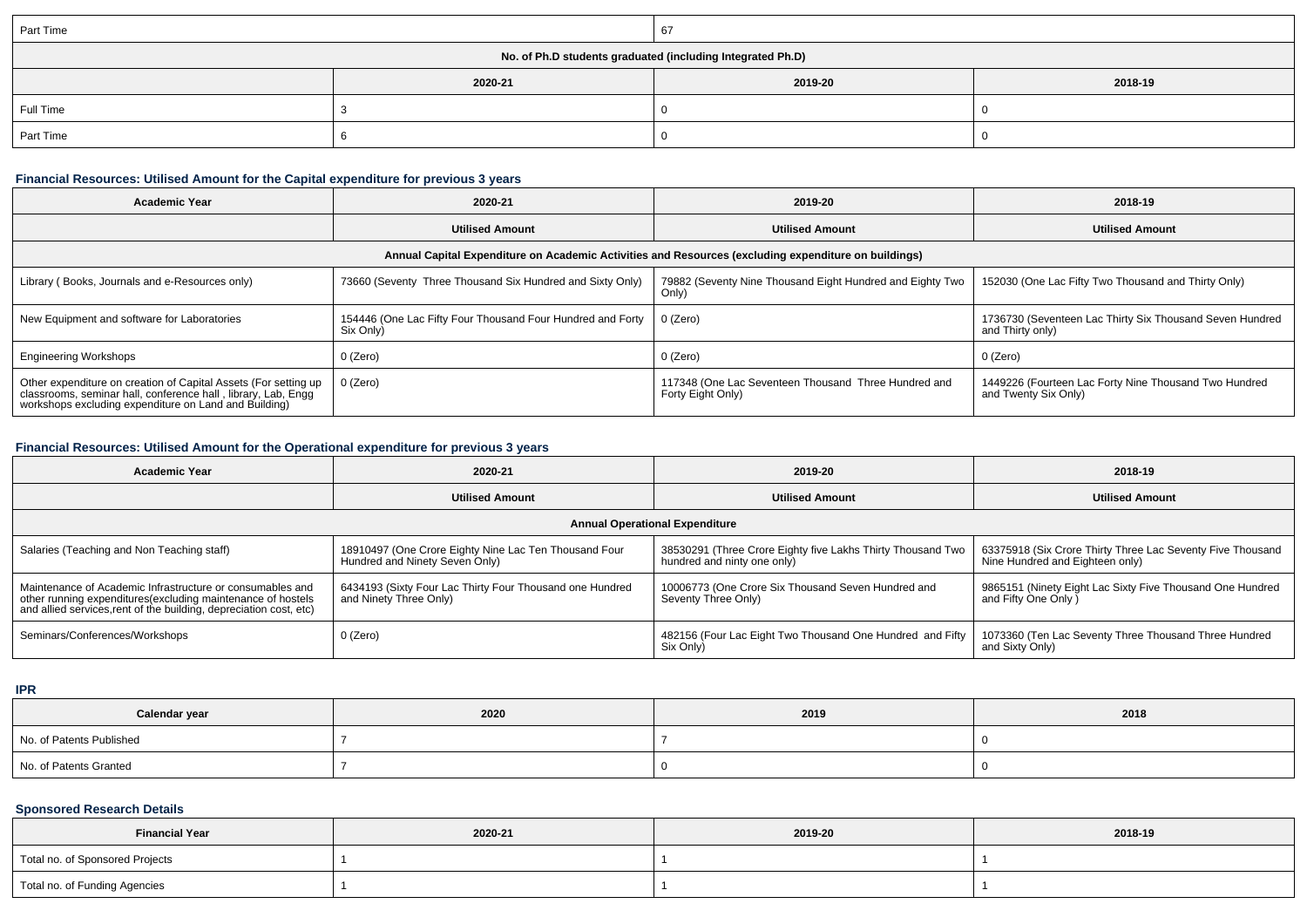| Part Time                                                  |         |         |         |  |  |  |  |
|------------------------------------------------------------|---------|---------|---------|--|--|--|--|
| No. of Ph.D students graduated (including Integrated Ph.D) |         |         |         |  |  |  |  |
|                                                            | 2020-21 | 2019-20 | 2018-19 |  |  |  |  |
| Full Time                                                  |         |         |         |  |  |  |  |
| Part Time                                                  |         |         |         |  |  |  |  |

## **Financial Resources: Utilised Amount for the Capital expenditure for previous 3 years**

| Academic Year                                                                                                                                                                             | 2020-21                                                                 | 2019-20                                                                   | 2018-19                                                                       |  |  |  |  |  |
|-------------------------------------------------------------------------------------------------------------------------------------------------------------------------------------------|-------------------------------------------------------------------------|---------------------------------------------------------------------------|-------------------------------------------------------------------------------|--|--|--|--|--|
|                                                                                                                                                                                           | <b>Utilised Amount</b>                                                  | <b>Utilised Amount</b>                                                    | <b>Utilised Amount</b>                                                        |  |  |  |  |  |
| Annual Capital Expenditure on Academic Activities and Resources (excluding expenditure on buildings)                                                                                      |                                                                         |                                                                           |                                                                               |  |  |  |  |  |
| Library (Books, Journals and e-Resources only)                                                                                                                                            | 73660 (Seventy Three Thousand Six Hundred and Sixty Only)               | 79882 (Seventy Nine Thousand Eight Hundred and Eighty Two<br>Only)        | 152030 (One Lac Fifty Two Thousand and Thirty Only)                           |  |  |  |  |  |
| New Equipment and software for Laboratories                                                                                                                                               | 154446 (One Lac Fifty Four Thousand Four Hundred and Forty<br>Six Only) | 0 (Zero)                                                                  | 1736730 (Seventeen Lac Thirty Six Thousand Seven Hundred<br>and Thirty only)  |  |  |  |  |  |
| <b>Engineering Workshops</b>                                                                                                                                                              | 0 (Zero)                                                                | $0$ (Zero)                                                                | 0 (Zero)                                                                      |  |  |  |  |  |
| Other expenditure on creation of Capital Assets (For setting up<br>classrooms, seminar hall, conference hall, library, Lab, Engg<br>workshops excluding expenditure on Land and Building) | $0$ (Zero)                                                              | 117348 (One Lac Seventeen Thousand Three Hundred and<br>Forty Eight Only) | 1449226 (Fourteen Lac Forty Nine Thousand Two Hundred<br>and Twenty Six Only) |  |  |  |  |  |

## **Financial Resources: Utilised Amount for the Operational expenditure for previous 3 years**

| <b>Academic Year</b>                                                                                                                                                                            | 2020-21                                                                                 | 2019-20                                                                                    | 2018-19                                                                                       |  |  |  |  |
|-------------------------------------------------------------------------------------------------------------------------------------------------------------------------------------------------|-----------------------------------------------------------------------------------------|--------------------------------------------------------------------------------------------|-----------------------------------------------------------------------------------------------|--|--|--|--|
|                                                                                                                                                                                                 | <b>Utilised Amount</b>                                                                  | <b>Utilised Amount</b>                                                                     | <b>Utilised Amount</b>                                                                        |  |  |  |  |
| <b>Annual Operational Expenditure</b>                                                                                                                                                           |                                                                                         |                                                                                            |                                                                                               |  |  |  |  |
| Salaries (Teaching and Non Teaching staff)                                                                                                                                                      | 18910497 (One Crore Eighty Nine Lac Ten Thousand Four<br>Hundred and Ninety Seven Only) | 38530291 (Three Crore Eighty five Lakhs Thirty Thousand Two<br>hundred and ninty one only) | 63375918 (Six Crore Thirty Three Lac Seventy Five Thousand<br>Nine Hundred and Eighteen only) |  |  |  |  |
| Maintenance of Academic Infrastructure or consumables and<br>other running expenditures (excluding maintenance of hostels<br>and allied services, rent of the building, depreciation cost, etc) | 6434193 (Sixty Four Lac Thirty Four Thousand one Hundred<br>and Ninety Three Only)      | 10006773 (One Crore Six Thousand Seven Hundred and<br>Seventy Three Only)                  | 9865151 (Ninety Eight Lac Sixty Five Thousand One Hundred<br>and Fifty One Only )             |  |  |  |  |
| Seminars/Conferences/Workshops                                                                                                                                                                  | 0 (Zero)                                                                                | 482156 (Four Lac Eight Two Thousand One Hundred and Fifty<br>Six Only)                     | 1073360 (Ten Lac Seventy Three Thousand Three Hundred<br>and Sixty Only)                      |  |  |  |  |

**IPR**

| Calendar year            | 2020 | 2019 | 2018 |
|--------------------------|------|------|------|
| No. of Patents Published |      |      |      |
| No. of Patents Granted   |      |      |      |

## **Sponsored Research Details**

| <b>Financial Year</b>           | 2020-21 | 2019-20 | 2018-19 |  |  |
|---------------------------------|---------|---------|---------|--|--|
| Total no. of Sponsored Projects |         |         |         |  |  |
| Total no. of Funding Agencies   |         |         |         |  |  |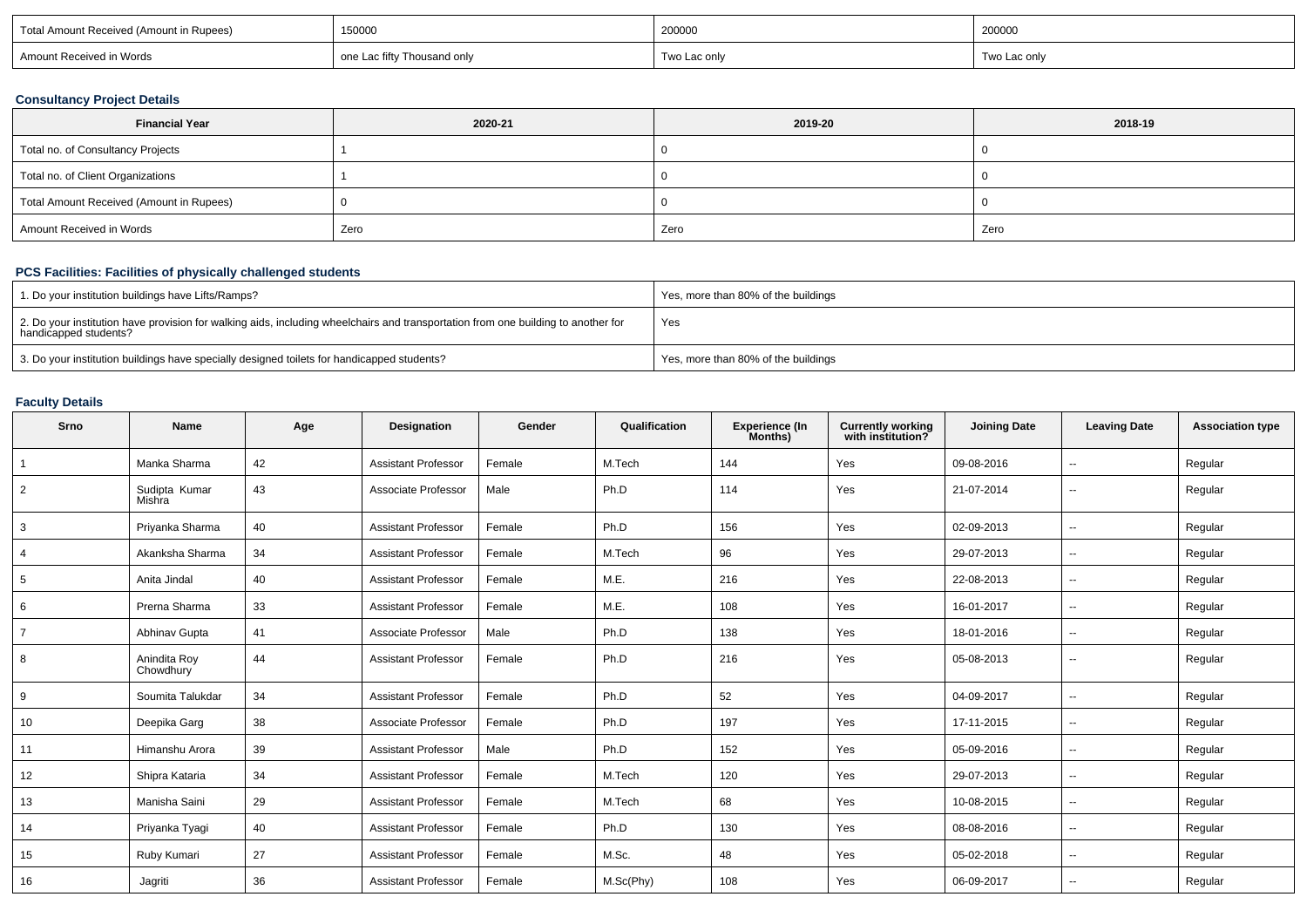| 150000<br>Total Amount Received (Amount in Rupees) |                             | 200000       | 200000       |  |
|----------------------------------------------------|-----------------------------|--------------|--------------|--|
| Amount Received in Words                           | one Lac fifty Thousand only | Two Lac only | Two Lac only |  |

#### **Consultancy Project Details**

| <b>Financial Year</b>                    | 2020-21 | 2019-20 | 2018-19 |
|------------------------------------------|---------|---------|---------|
| Total no. of Consultancy Projects        |         |         |         |
| Total no. of Client Organizations        |         |         |         |
| Total Amount Received (Amount in Rupees) |         |         |         |
| Amount Received in Words                 | Zero    | Zero    | Zero    |

# **PCS Facilities: Facilities of physically challenged students**

| 1. Do your institution buildings have Lifts/Ramps?                                                                                                         | Yes, more than 80% of the buildings |
|------------------------------------------------------------------------------------------------------------------------------------------------------------|-------------------------------------|
| 2. Do your institution have provision for walking aids, including wheelchairs and transportation from one building to another for<br>handicapped students? | Yes                                 |
| 3. Do your institution buildings have specially designed toilets for handicapped students?                                                                 | Yes, more than 80% of the buildings |

# **Faculty Details**

| Srno           | <b>Name</b>               | Age | Designation                | Gender | Qualification | Experience (In<br>Months) | <b>Currently working</b><br>with institution? | <b>Joining Date</b> | <b>Leaving Date</b>      | <b>Association type</b> |
|----------------|---------------------------|-----|----------------------------|--------|---------------|---------------------------|-----------------------------------------------|---------------------|--------------------------|-------------------------|
|                | Manka Sharma              | 42  | <b>Assistant Professor</b> | Female | M.Tech        | 144                       | Yes                                           | 09-08-2016          | $\overline{\phantom{a}}$ | Regular                 |
| $\overline{2}$ | Sudipta Kumar<br>Mishra   | 43  | Associate Professor        | Male   | Ph.D          | 114                       | Yes                                           | 21-07-2014          | $\sim$                   | Regular                 |
| 3              | Priyanka Sharma           | 40  | <b>Assistant Professor</b> | Female | Ph.D          | 156                       | Yes                                           | 02-09-2013          | $\overline{\phantom{a}}$ | Regular                 |
| $\overline{4}$ | Akanksha Sharma           | 34  | <b>Assistant Professor</b> | Female | M.Tech        | 96                        | Yes                                           | 29-07-2013          | $\sim$                   | Regular                 |
| 5              | Anita Jindal              | 40  | <b>Assistant Professor</b> | Female | M.E.          | 216                       | Yes                                           | 22-08-2013          | $\overline{\phantom{a}}$ | Regular                 |
| 6              | Prerna Sharma             | 33  | <b>Assistant Professor</b> | Female | M.E.          | 108                       | Yes                                           | 16-01-2017          | $\overline{\phantom{a}}$ | Regular                 |
| $\overline{7}$ | Abhinav Gupta             | 41  | Associate Professor        | Male   | Ph.D          | 138                       | Yes                                           | 18-01-2016          | $\overline{\phantom{a}}$ | Regular                 |
| 8              | Anindita Roy<br>Chowdhury | 44  | <b>Assistant Professor</b> | Female | Ph.D          | 216                       | Yes                                           | 05-08-2013          | $\overline{\phantom{a}}$ | Regular                 |
| 9              | Soumita Talukdar          | 34  | <b>Assistant Professor</b> | Female | Ph.D          | 52                        | Yes                                           | 04-09-2017          | $\overline{\phantom{a}}$ | Regular                 |
| 10             | Deepika Garg              | 38  | Associate Professor        | Female | Ph.D          | 197                       | Yes                                           | 17-11-2015          | $\overline{\phantom{a}}$ | Regular                 |
| 11             | Himanshu Arora            | 39  | <b>Assistant Professor</b> | Male   | Ph.D          | 152                       | Yes                                           | 05-09-2016          | $\sim$                   | Regular                 |
| 12             | Shipra Kataria            | 34  | <b>Assistant Professor</b> | Female | M.Tech        | 120                       | Yes                                           | 29-07-2013          | $\sim$                   | Regular                 |
| 13             | Manisha Saini             | 29  | <b>Assistant Professor</b> | Female | M.Tech        | 68                        | Yes                                           | 10-08-2015          | $\overline{\phantom{a}}$ | Regular                 |
| 14             | Priyanka Tyagi            | 40  | <b>Assistant Professor</b> | Female | Ph.D          | 130                       | Yes                                           | 08-08-2016          | $\overline{\phantom{a}}$ | Regular                 |
| 15             | Ruby Kumari               | 27  | <b>Assistant Professor</b> | Female | M.Sc.         | 48                        | Yes                                           | 05-02-2018          | $\sim$                   | Regular                 |
| 16             | Jagriti                   | 36  | <b>Assistant Professor</b> | Female | M.Sc(Phy)     | 108                       | Yes                                           | 06-09-2017          | $\overline{\phantom{a}}$ | Regular                 |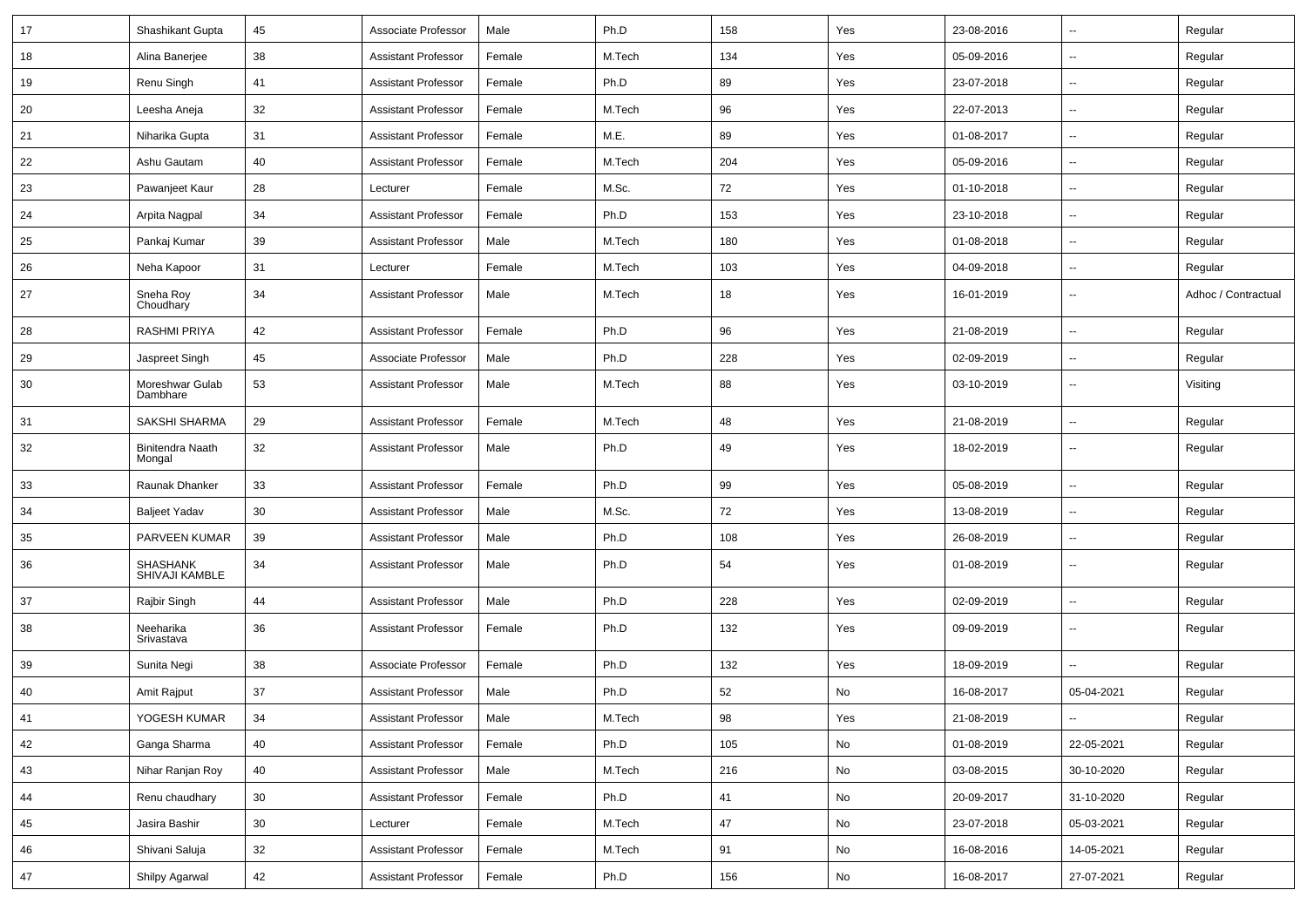| 17 | Shashikant Gupta                  | 45 | Associate Professor        | Male   | Ph.D   | 158 | Yes           | 23-08-2016 | $\overline{\phantom{a}}$ | Regular             |
|----|-----------------------------------|----|----------------------------|--------|--------|-----|---------------|------------|--------------------------|---------------------|
| 18 | Alina Banerjee                    | 38 | <b>Assistant Professor</b> | Female | M.Tech | 134 | Yes           | 05-09-2016 | н.                       | Regular             |
| 19 | Renu Singh                        | 41 | <b>Assistant Professor</b> | Female | Ph.D   | 89  | Yes           | 23-07-2018 | $\overline{\phantom{a}}$ | Regular             |
| 20 | Leesha Aneia                      | 32 | <b>Assistant Professor</b> | Female | M.Tech | 96  | Yes           | 22-07-2013 | --                       | Regular             |
| 21 | Niharika Gupta                    | 31 | <b>Assistant Professor</b> | Female | M.E.   | 89  | Yes           | 01-08-2017 | --                       | Regular             |
| 22 | Ashu Gautam                       | 40 | <b>Assistant Professor</b> | Female | M.Tech | 204 | Yes           | 05-09-2016 | $\overline{\phantom{a}}$ | Regular             |
| 23 | Pawanjeet Kaur                    | 28 | Lecturer                   | Female | M.Sc.  | 72  | Yes           | 01-10-2018 | $\overline{\phantom{a}}$ | Regular             |
| 24 | Arpita Nagpal                     | 34 | Assistant Professor        | Female | Ph.D   | 153 | Yes           | 23-10-2018 | ⊷.                       | Regular             |
| 25 | Pankaj Kumar                      | 39 | <b>Assistant Professor</b> | Male   | M.Tech | 180 | Yes           | 01-08-2018 | $\overline{\phantom{a}}$ | Regular             |
| 26 | Neha Kapoor                       | 31 | Lecturer                   | Female | M.Tech | 103 | Yes           | 04-09-2018 | --                       | Regular             |
| 27 | Sneha Roy<br>Choudhary            | 34 | <b>Assistant Professor</b> | Male   | M.Tech | 18  | Yes           | 16-01-2019 | --                       | Adhoc / Contractual |
| 28 | <b>RASHMI PRIYA</b>               | 42 | <b>Assistant Professor</b> | Female | Ph.D   | 96  | Yes           | 21-08-2019 | --                       | Regular             |
| 29 | Jaspreet Singh                    | 45 | Associate Professor        | Male   | Ph.D   | 228 | Yes           | 02-09-2019 | ⊷.                       | Regular             |
| 30 | Moreshwar Gulab<br>Dambhare       | 53 | <b>Assistant Professor</b> | Male   | M.Tech | 88  | Yes           | 03-10-2019 | $\overline{\phantom{a}}$ | Visiting            |
| 31 | SAKSHI SHARMA                     | 29 | Assistant Professor        | Female | M.Tech | 48  | Yes           | 21-08-2019 | $\overline{\phantom{a}}$ | Regular             |
| 32 | <b>Binitendra Naath</b><br>Mongal | 32 | <b>Assistant Professor</b> | Male   | Ph.D   | 49  | Yes           | 18-02-2019 | $\overline{\phantom{a}}$ | Regular             |
| 33 | Raunak Dhanker                    | 33 | <b>Assistant Professor</b> | Female | Ph.D   | 99  | Yes           | 05-08-2019 | -−                       | Regular             |
| 34 | <b>Baljeet Yadav</b>              | 30 | <b>Assistant Professor</b> | Male   | M.Sc.  | 72  | Yes           | 13-08-2019 | --                       | Regular             |
| 35 | PARVEEN KUMAR                     | 39 | <b>Assistant Professor</b> | Male   | Ph.D   | 108 | Yes           | 26-08-2019 | --                       | Regular             |
| 36 | SHASHANK<br>SHIVAJI KAMBLE        | 34 | <b>Assistant Professor</b> | Male   | Ph.D   | 54  | Yes           | 01-08-2019 | -−                       | Regular             |
| 37 | Rajbir Singh                      | 44 | <b>Assistant Professor</b> | Male   | Ph.D   | 228 | Yes           | 02-09-2019 | -−                       | Regular             |
| 38 | Neeharika<br>Srivastava           | 36 | <b>Assistant Professor</b> | Female | Ph.D   | 132 | Yes           | 09-09-2019 | -−                       | Regular             |
| 39 | Sunita Negi                       | 38 | Associate Professor        | Female | Ph.D   | 132 | Yes           | 18-09-2019 |                          | Regular             |
| 40 | Amit Rajput                       | 37 | <b>Assistant Professor</b> | Male   | Ph.D   | 52  | No            | 16-08-2017 | 05-04-2021               | Regular             |
| 41 | YOGESH KUMAR                      | 34 | <b>Assistant Professor</b> | Male   | M.Tech | 98  | Yes           | 21-08-2019 | $\overline{\phantom{a}}$ | Regular             |
| 42 | Ganga Sharma                      | 40 | <b>Assistant Professor</b> | Female | Ph.D   | 105 | No            | 01-08-2019 | 22-05-2021               | Regular             |
| 43 | Nihar Ranjan Roy                  | 40 | <b>Assistant Professor</b> | Male   | M.Tech | 216 | No            | 03-08-2015 | 30-10-2020               | Regular             |
| 44 | Renu chaudhary                    | 30 | <b>Assistant Professor</b> | Female | Ph.D   | 41  | No            | 20-09-2017 | 31-10-2020               | Regular             |
| 45 | Jasira Bashir                     | 30 | Lecturer                   | Female | M.Tech | 47  | No            | 23-07-2018 | 05-03-2021               | Regular             |
| 46 | Shivani Saluja                    | 32 | <b>Assistant Professor</b> | Female | M.Tech | 91  | $\mathsf{No}$ | 16-08-2016 | 14-05-2021               | Regular             |
| 47 | Shilpy Agarwal                    | 42 | <b>Assistant Professor</b> | Female | Ph.D   | 156 | No            | 16-08-2017 | 27-07-2021               | Regular             |